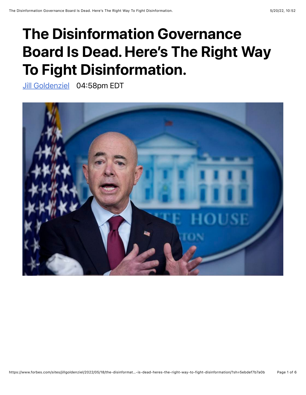## The Disinformation Governance Board Is Dead. Here's The Right Way To Fight Disinformation.

[Jill Goldenziel](https://www.forbes.com/sites/jillgoldenziel/) 04:58pm EDT

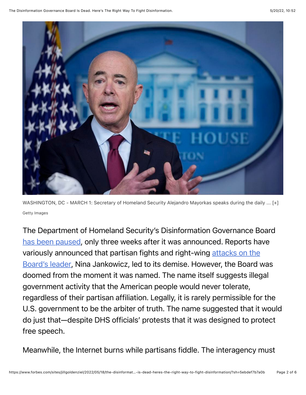

WASHINGTON, DC - MARCH 1: Secretary of Homeland Security Alejandro Mayorkas speaks during the daily ... [+] Getty Images

The Department of Homeland Security's Disinformation Governance Board [has been paused](https://www.washingtonpost.com/technology/2022/05/18/disinformation-board-dhs-nina-jankowicz/), only three weeks after it was announced. Reports have [variously announced that partisan fights and right-wing attacks on the](https://www.forbes.com/sites/edwardsegal/2022/05/18/how-dhs-is-responding-to-their-own-disinformation-crisis/) Board's leader, Nina Jankowicz, led to its demise. However, the Board was doomed from the moment it was named. The name itself suggests illegal government activity that the American people would never tolerate, regardless of their partisan affiliation. Legally, it is rarely permissible for the U.S. government to be the arbiter of truth. The name suggested that it would do just that—despite DHS officials' protests that it was designed to protect free speech.

Meanwhile, the Internet burns while partisans fiddle. The interagency must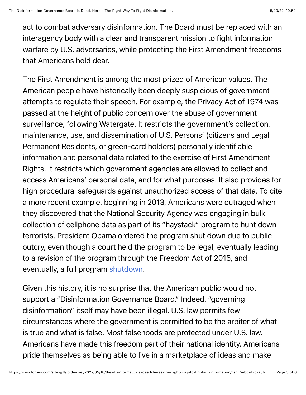act to combat adversary disinformation. The Board must be replaced with an interagency body with a clear and transparent mission to fight information warfare by U.S. adversaries, while protecting the First Amendment freedoms that Americans hold dear.

The First Amendment is among the most prized of American values. The American people have historically been deeply suspicious of government attempts to regulate their speech. For example, the Privacy Act of 1974 was passed at the height of public concern over the abuse of government surveillance, following Watergate. It restricts the government's collection, maintenance, use, and dissemination of U.S. Persons' (citizens and Legal Permanent Residents, or green-card holders) personally identifiable information and personal data related to the exercise of First Amendment Rights. It restricts which government agencies are allowed to collect and access Americans' personal data, and for what purposes. It also provides for high procedural safeguards against unauthorized access of that data. To cite a more recent example, beginning in 2013, Americans were outraged when they discovered that the National Security Agency was engaging in bulk collection of cellphone data as part of its "haystack" program to hunt down terrorists. President Obama ordered the program shut down due to public outcry, even though a court held the program to be legal, eventually leading to a revision of the program through the Freedom Act of 2015, and eventually, a full program [shutdown.](https://www.nytimes.com/2019/03/04/us/politics/nsa-phone-records-program-shut-down.html)

Given this history, it is no surprise that the American public would not support a "Disinformation Governance Board." Indeed, "governing disinformation" itself may have been illegal. U.S. law permits few circumstances where the government is permitted to be the arbiter of what is true and what is false. Most falsehoods are protected under U.S. law. Americans have made this freedom part of their national identity. Americans pride themselves as being able to live in a marketplace of ideas and make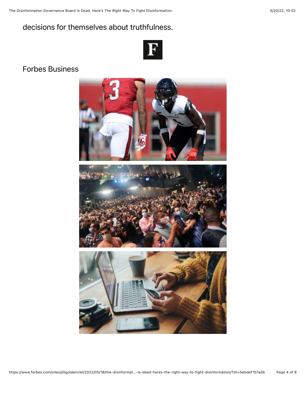## decisions for themselves about truthfulness.



## Forbes Business

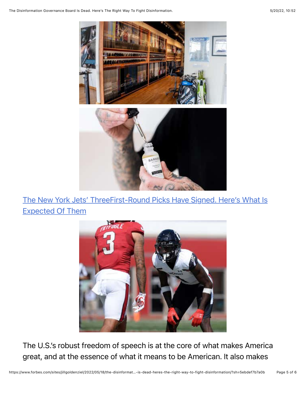

[The New York Jets' ThreeFirst-Round Picks Have Signed. Here's What Is](https://www.forbes.com/sites/jppelzman/2022/05/20/the-new-york-jets-three-first-round-picks-have-signed-heres-what-is-expected-of-them/?traffic_source=Connatix) Expected Of Them



The U.S.'s robust freedom of speech is at the core of what makes America great, and at the essence of what it means to be American. It also makes